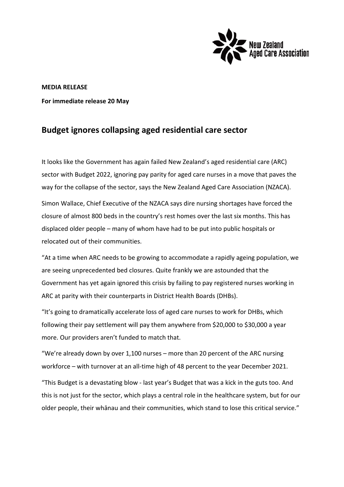

**MEDIA RELEASE For immediate release 20 May**

## **Budget ignores collapsing aged residential care sector**

It looks like the Government has again failed New Zealand's aged residential care (ARC) sector with Budget 2022, ignoring pay parity for aged care nurses in a move that paves the way for the collapse of the sector, says the New Zealand Aged Care Association (NZACA). Simon Wallace, Chief Executive of the NZACA says dire nursing shortages have forced the closure of almost 800 beds in the country's rest homes over the last six months. This has displaced older people – many of whom have had to be put into public hospitals or relocated out of their communities.

"At a time when ARC needs to be growing to accommodate a rapidly ageing population, we are seeing unprecedented bed closures. Quite frankly we are astounded that the Government has yet again ignored this crisis by failing to pay registered nurses working in ARC at parity with their counterparts in District Health Boards (DHBs).

"It's going to dramatically accelerate loss of aged care nurses to work for DHBs, which following their pay settlement will pay them anywhere from \$20,000 to \$30,000 a year more. Our providers aren't funded to match that.

"We're already down by over 1,100 nurses – more than 20 percent of the ARC nursing workforce – with turnover at an all-time high of 48 percent to the year December 2021.

"This Budget is a devastating blow - last year's Budget that was a kick in the guts too. And this is not just for the sector, which plays a central role in the healthcare system, but for our older people, their whānau and their communities, which stand to lose this critical service."